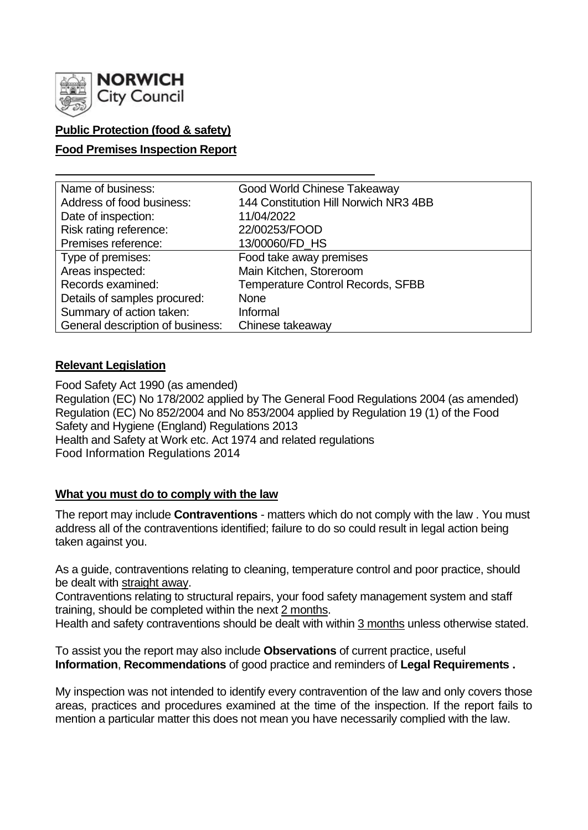

## **Public Protection (food & safety)**

### **Food Premises Inspection Report**

| Name of business:                | Good World Chinese Takeaway              |
|----------------------------------|------------------------------------------|
| Address of food business:        | 144 Constitution Hill Norwich NR3 4BB    |
| Date of inspection:              | 11/04/2022                               |
| Risk rating reference:           | 22/00253/FOOD                            |
| Premises reference:              | 13/00060/FD_HS                           |
| Type of premises:                | Food take away premises                  |
| Areas inspected:                 | Main Kitchen, Storeroom                  |
| Records examined:                | <b>Temperature Control Records, SFBB</b> |
| Details of samples procured:     | <b>None</b>                              |
| Summary of action taken:         | Informal                                 |
| General description of business: | Chinese takeaway                         |

### **Relevant Legislation**

Food Safety Act 1990 (as amended) Regulation (EC) No 178/2002 applied by The General Food Regulations 2004 (as amended) Regulation (EC) No 852/2004 and No 853/2004 applied by Regulation 19 (1) of the Food Safety and Hygiene (England) Regulations 2013 Health and Safety at Work etc. Act 1974 and related regulations Food Information Regulations 2014

### **What you must do to comply with the law**

The report may include **Contraventions** - matters which do not comply with the law . You must address all of the contraventions identified; failure to do so could result in legal action being taken against you.

As a guide, contraventions relating to cleaning, temperature control and poor practice, should be dealt with straight away.

Contraventions relating to structural repairs, your food safety management system and staff training, should be completed within the next 2 months.

Health and safety contraventions should be dealt with within 3 months unless otherwise stated.

To assist you the report may also include **Observations** of current practice, useful **Information**, **Recommendations** of good practice and reminders of **Legal Requirements .**

My inspection was not intended to identify every contravention of the law and only covers those areas, practices and procedures examined at the time of the inspection. If the report fails to mention a particular matter this does not mean you have necessarily complied with the law.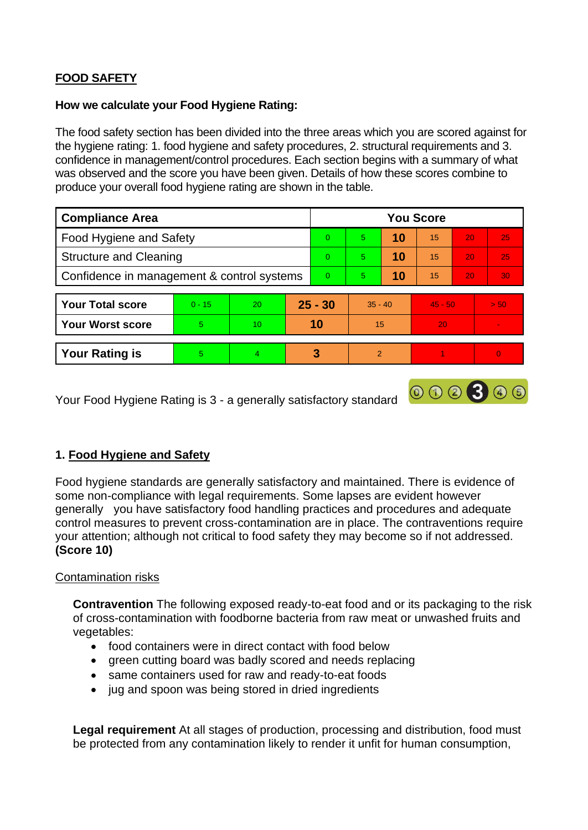## **FOOD SAFETY**

### **How we calculate your Food Hygiene Rating:**

The food safety section has been divided into the three areas which you are scored against for the hygiene rating: 1. food hygiene and safety procedures, 2. structural requirements and 3. confidence in management/control procedures. Each section begins with a summary of what was observed and the score you have been given. Details of how these scores combine to produce your overall food hygiene rating are shown in the table.

| <b>Compliance Area</b>                     |          |    |           | <b>You Score</b> |                |    |           |    |                 |  |
|--------------------------------------------|----------|----|-----------|------------------|----------------|----|-----------|----|-----------------|--|
| Food Hygiene and Safety                    |          |    |           | $\Omega$         | $\overline{5}$ | 10 | 15        | 20 | 25              |  |
| <b>Structure and Cleaning</b>              |          |    |           | $\Omega$         | 5.             | 10 | 15        | 20 | 25              |  |
| Confidence in management & control systems |          |    |           | $\Omega$         | 5.             | 10 | 15        | 20 | 30 <sub>1</sub> |  |
| <b>Your Total score</b>                    | $0 - 15$ | 20 | $25 - 30$ |                  | $35 - 40$      |    | $45 - 50$ |    | > 50            |  |
| <b>Your Worst score</b>                    | 5        | 10 | 10        |                  | 15             |    | 20        |    | $\blacksquare$  |  |
| <b>Your Rating is</b>                      | 5        | 4  |           | 3                | $\overline{2}$ |    |           |    | $\overline{0}$  |  |

000300

Your Food Hygiene Rating is 3 - a generally satisfactory standard

## **1. Food Hygiene and Safety**

Food hygiene standards are generally satisfactory and maintained. There is evidence of some non-compliance with legal requirements. Some lapses are evident however generally you have satisfactory food handling practices and procedures and adequate control measures to prevent cross-contamination are in place. The contraventions require your attention; although not critical to food safety they may become so if not addressed. **(Score 10)**

### Contamination risks

**Contravention** The following exposed ready-to-eat food and or its packaging to the risk of cross-contamination with foodborne bacteria from raw meat or unwashed fruits and vegetables:

- food containers were in direct contact with food below
- green cutting board was badly scored and needs replacing
- same containers used for raw and ready-to-eat foods
- jug and spoon was being stored in dried ingredients

**Legal requirement** At all stages of production, processing and distribution, food must be protected from any contamination likely to render it unfit for human consumption,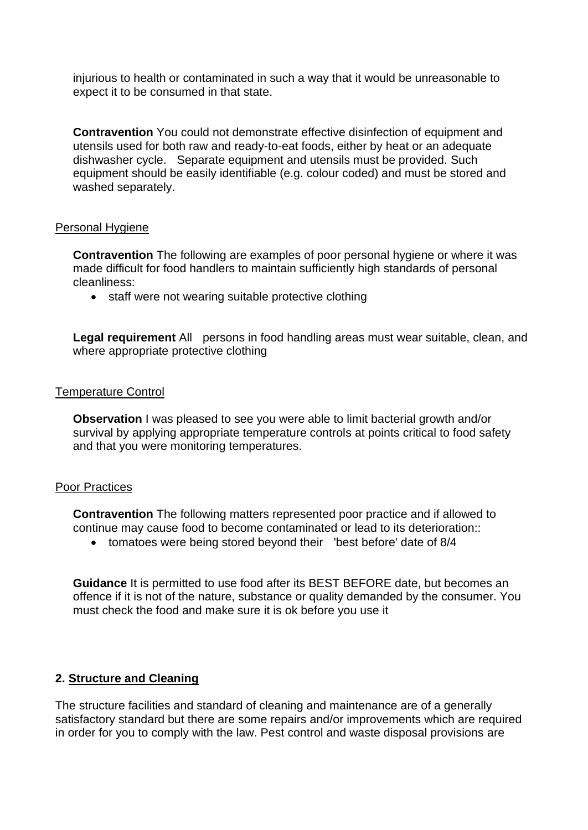injurious to health or contaminated in such a way that it would be unreasonable to expect it to be consumed in that state.

**Contravention** You could not demonstrate effective disinfection of equipment and utensils used for both raw and ready-to-eat foods, either by heat or an adequate dishwasher cycle. Separate equipment and utensils must be provided. Such equipment should be easily identifiable (e.g. colour coded) and must be stored and washed separately.

### Personal Hygiene

**Contravention** The following are examples of poor personal hygiene or where it was made difficult for food handlers to maintain sufficiently high standards of personal cleanliness:

• staff were not wearing suitable protective clothing

**Legal requirement** All persons in food handling areas must wear suitable, clean, and where appropriate protective clothing

### Temperature Control

**Observation I** was pleased to see you were able to limit bacterial growth and/or survival by applying appropriate temperature controls at points critical to food safety and that you were monitoring temperatures.

#### Poor Practices

**Contravention** The following matters represented poor practice and if allowed to continue may cause food to become contaminated or lead to its deterioration::

• tomatoes were being stored beyond their 'best before' date of 8/4

**Guidance** It is permitted to use food after its BEST BEFORE date, but becomes an offence if it is not of the nature, substance or quality demanded by the consumer. You must check the food and make sure it is ok before you use it

### **2. Structure and Cleaning**

The structure facilities and standard of cleaning and maintenance are of a generally satisfactory standard but there are some repairs and/or improvements which are required in order for you to comply with the law. Pest control and waste disposal provisions are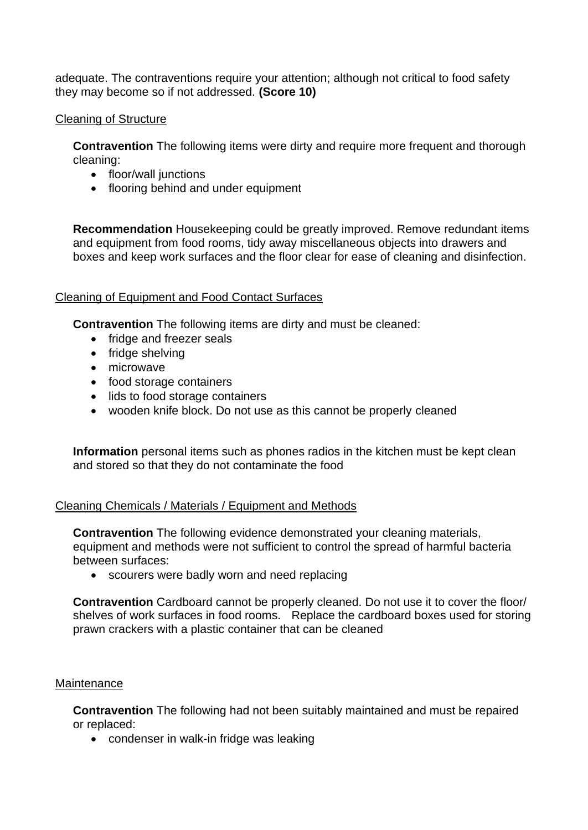adequate. The contraventions require your attention; although not critical to food safety they may become so if not addressed. **(Score 10)**

### Cleaning of Structure

**Contravention** The following items were dirty and require more frequent and thorough cleaning:

- floor/wall junctions
- flooring behind and under equipment

**Recommendation** Housekeeping could be greatly improved. Remove redundant items and equipment from food rooms, tidy away miscellaneous objects into drawers and boxes and keep work surfaces and the floor clear for ease of cleaning and disinfection.

### Cleaning of Equipment and Food Contact Surfaces

**Contravention** The following items are dirty and must be cleaned:

- fridge and freezer seals
- fridge shelving
- microwave
- food storage containers
- lids to food storage containers
- wooden knife block. Do not use as this cannot be properly cleaned

**Information** personal items such as phones radios in the kitchen must be kept clean and stored so that they do not contaminate the food

## Cleaning Chemicals / Materials / Equipment and Methods

**Contravention** The following evidence demonstrated your cleaning materials, equipment and methods were not sufficient to control the spread of harmful bacteria between surfaces:

• scourers were badly worn and need replacing

**Contravention** Cardboard cannot be properly cleaned. Do not use it to cover the floor/ shelves of work surfaces in food rooms. Replace the cardboard boxes used for storing prawn crackers with a plastic container that can be cleaned

### **Maintenance**

**Contravention** The following had not been suitably maintained and must be repaired or replaced:

• condenser in walk-in fridge was leaking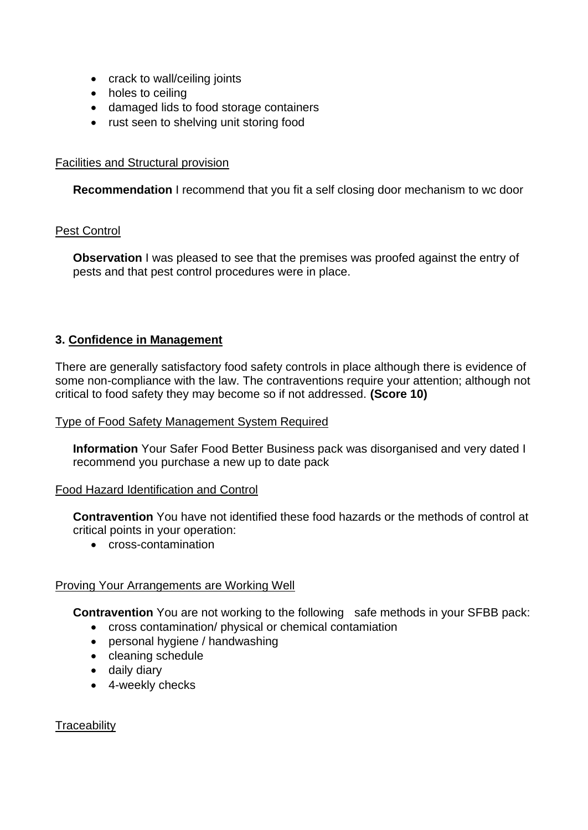- crack to wall/ceiling joints
- holes to ceiling
- damaged lids to food storage containers
- rust seen to shelving unit storing food

### Facilities and Structural provision

**Recommendation** I recommend that you fit a self closing door mechanism to wc door

### Pest Control

**Observation** I was pleased to see that the premises was proofed against the entry of pests and that pest control procedures were in place.

### **3. Confidence in Management**

There are generally satisfactory food safety controls in place although there is evidence of some non-compliance with the law. The contraventions require your attention; although not critical to food safety they may become so if not addressed. **(Score 10)**

### Type of Food Safety Management System Required

**Information** Your Safer Food Better Business pack was disorganised and very dated I recommend you purchase a new up to date pack

### Food Hazard Identification and Control

**Contravention** You have not identified these food hazards or the methods of control at critical points in your operation:

• cross-contamination

### Proving Your Arrangements are Working Well

**Contravention** You are not working to the following safe methods in your SFBB pack:

- cross contamination/ physical or chemical contamiation
- personal hygiene / handwashing
- cleaning schedule
- daily diary
- 4-weekly checks

**Traceability**